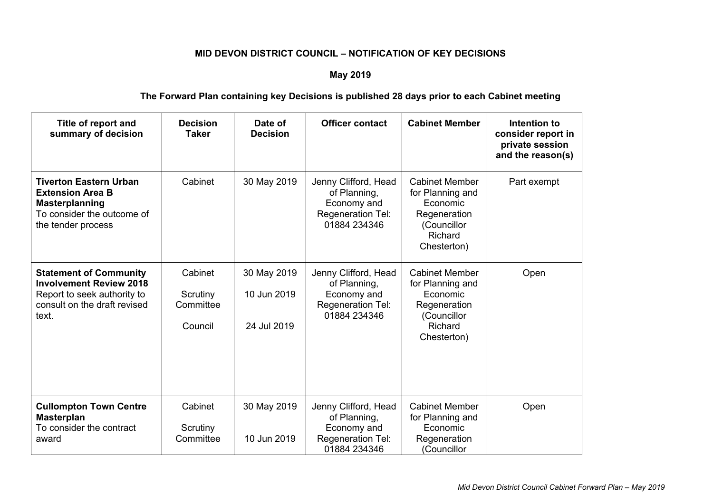## **MID DEVON DISTRICT COUNCIL – NOTIFICATION OF KEY DECISIONS**

## **May 2019**

## **The Forward Plan containing key Decisions is published 28 days prior to each Cabinet meeting**

| Title of report and<br>summary of decision                                                                                              | <b>Decision</b><br><b>Taker</b>             | Date of<br><b>Decision</b>                | <b>Officer contact</b>                                                                   | <b>Cabinet Member</b>                                                                                          | Intention to<br>consider report in<br>private session<br>and the reason(s) |
|-----------------------------------------------------------------------------------------------------------------------------------------|---------------------------------------------|-------------------------------------------|------------------------------------------------------------------------------------------|----------------------------------------------------------------------------------------------------------------|----------------------------------------------------------------------------|
| <b>Tiverton Eastern Urban</b><br><b>Extension Area B</b><br><b>Masterplanning</b><br>To consider the outcome of<br>the tender process   | Cabinet                                     | 30 May 2019                               | Jenny Clifford, Head<br>of Planning,<br>Economy and<br>Regeneration Tel:<br>01884 234346 | <b>Cabinet Member</b><br>for Planning and<br>Economic<br>Regeneration<br>(Councillor<br>Richard<br>Chesterton) | Part exempt                                                                |
| <b>Statement of Community</b><br><b>Involvement Review 2018</b><br>Report to seek authority to<br>consult on the draft revised<br>text. | Cabinet<br>Scrutiny<br>Committee<br>Council | 30 May 2019<br>10 Jun 2019<br>24 Jul 2019 | Jenny Clifford, Head<br>of Planning,<br>Economy and<br>Regeneration Tel:<br>01884 234346 | <b>Cabinet Member</b><br>for Planning and<br>Economic<br>Regeneration<br>(Councillor<br>Richard<br>Chesterton) | Open                                                                       |
| <b>Cullompton Town Centre</b><br><b>Masterplan</b><br>To consider the contract<br>award                                                 | Cabinet<br>Scrutiny<br>Committee            | 30 May 2019<br>10 Jun 2019                | Jenny Clifford, Head<br>of Planning,<br>Economy and<br>Regeneration Tel:<br>01884 234346 | <b>Cabinet Member</b><br>for Planning and<br>Economic<br>Regeneration<br>(Councillor                           | Open                                                                       |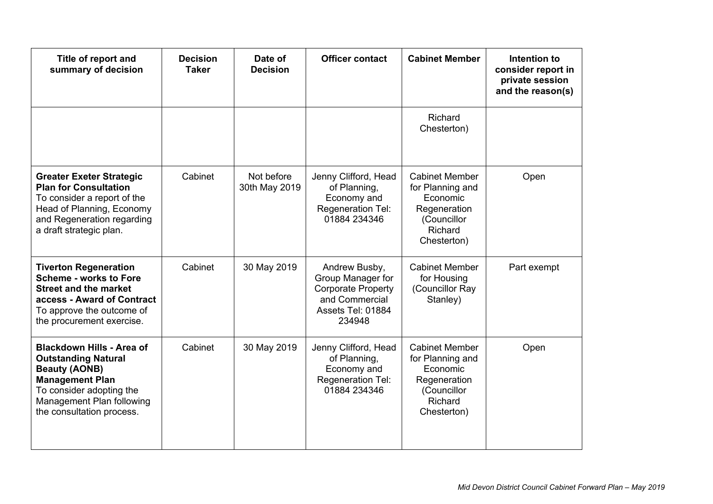| Title of report and<br>summary of decision                                                                                                                                                             | <b>Decision</b><br><b>Taker</b> | Date of<br><b>Decision</b>  | <b>Officer contact</b>                                                                                           | <b>Cabinet Member</b>                                                                                          | Intention to<br>consider report in<br>private session<br>and the reason(s) |
|--------------------------------------------------------------------------------------------------------------------------------------------------------------------------------------------------------|---------------------------------|-----------------------------|------------------------------------------------------------------------------------------------------------------|----------------------------------------------------------------------------------------------------------------|----------------------------------------------------------------------------|
|                                                                                                                                                                                                        |                                 |                             |                                                                                                                  | Richard<br>Chesterton)                                                                                         |                                                                            |
| <b>Greater Exeter Strategic</b><br><b>Plan for Consultation</b><br>To consider a report of the<br>Head of Planning, Economy<br>and Regeneration regarding<br>a draft strategic plan.                   | Cabinet                         | Not before<br>30th May 2019 | Jenny Clifford, Head<br>of Planning,<br>Economy and<br>Regeneration Tel:<br>01884 234346                         | <b>Cabinet Member</b><br>for Planning and<br>Economic<br>Regeneration<br>(Councillor<br>Richard<br>Chesterton) | Open                                                                       |
| <b>Tiverton Regeneration</b><br><b>Scheme - works to Fore</b><br><b>Street and the market</b><br>access - Award of Contract<br>To approve the outcome of<br>the procurement exercise.                  | Cabinet                         | 30 May 2019                 | Andrew Busby,<br>Group Manager for<br><b>Corporate Property</b><br>and Commercial<br>Assets Tel: 01884<br>234948 | <b>Cabinet Member</b><br>for Housing<br>(Councillor Ray<br>Stanley)                                            | Part exempt                                                                |
| <b>Blackdown Hills - Area of</b><br><b>Outstanding Natural</b><br><b>Beauty (AONB)</b><br><b>Management Plan</b><br>To consider adopting the<br>Management Plan following<br>the consultation process. | Cabinet                         | 30 May 2019                 | Jenny Clifford, Head<br>of Planning,<br>Economy and<br>Regeneration Tel:<br>01884 234346                         | <b>Cabinet Member</b><br>for Planning and<br>Economic<br>Regeneration<br>(Councillor<br>Richard<br>Chesterton) | Open                                                                       |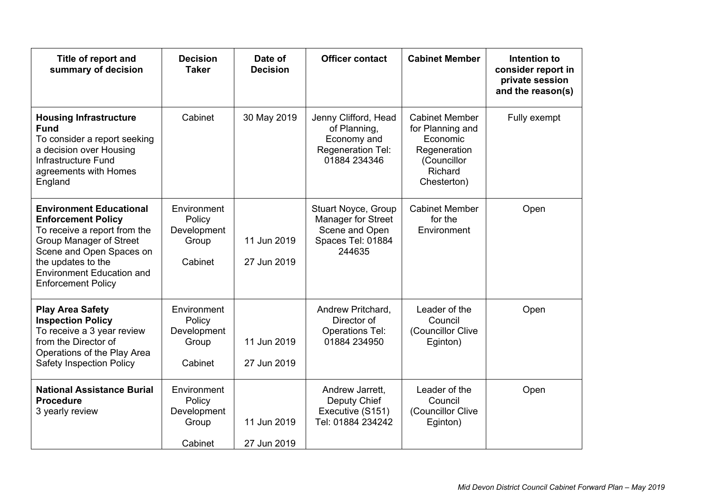| Title of report and<br>summary of decision                                                                                                                                                                                                       | <b>Decision</b><br><b>Taker</b>                          | Date of<br><b>Decision</b> | <b>Officer contact</b>                                                                     | <b>Cabinet Member</b>                                                                                          | Intention to<br>consider report in<br>private session<br>and the reason(s) |
|--------------------------------------------------------------------------------------------------------------------------------------------------------------------------------------------------------------------------------------------------|----------------------------------------------------------|----------------------------|--------------------------------------------------------------------------------------------|----------------------------------------------------------------------------------------------------------------|----------------------------------------------------------------------------|
| <b>Housing Infrastructure</b><br><b>Fund</b><br>To consider a report seeking<br>a decision over Housing<br>Infrastructure Fund<br>agreements with Homes<br>England                                                                               | Cabinet                                                  | 30 May 2019                | Jenny Clifford, Head<br>of Planning,<br>Economy and<br>Regeneration Tel:<br>01884 234346   | <b>Cabinet Member</b><br>for Planning and<br>Economic<br>Regeneration<br>(Councillor<br>Richard<br>Chesterton) | Fully exempt                                                               |
| <b>Environment Educational</b><br><b>Enforcement Policy</b><br>To receive a report from the<br><b>Group Manager of Street</b><br>Scene and Open Spaces on<br>the updates to the<br><b>Environment Education and</b><br><b>Enforcement Policy</b> | Environment<br>Policy<br>Development<br>Group<br>Cabinet | 11 Jun 2019<br>27 Jun 2019 | Stuart Noyce, Group<br>Manager for Street<br>Scene and Open<br>Spaces Tel: 01884<br>244635 | <b>Cabinet Member</b><br>for the<br>Environment                                                                | Open                                                                       |
| <b>Play Area Safety</b><br><b>Inspection Policy</b><br>To receive a 3 year review<br>from the Director of<br>Operations of the Play Area<br><b>Safety Inspection Policy</b>                                                                      | Environment<br>Policy<br>Development<br>Group<br>Cabinet | 11 Jun 2019<br>27 Jun 2019 | Andrew Pritchard,<br>Director of<br><b>Operations Tel:</b><br>01884 234950                 | Leader of the<br>Council<br>(Councillor Clive<br>Eginton)                                                      | Open                                                                       |
| <b>National Assistance Burial</b><br><b>Procedure</b><br>3 yearly review                                                                                                                                                                         | Environment<br>Policy<br>Development<br>Group<br>Cabinet | 11 Jun 2019<br>27 Jun 2019 | Andrew Jarrett,<br>Deputy Chief<br>Executive (S151)<br>Tel: 01884 234242                   | Leader of the<br>Council<br>(Councillor Clive<br>Eginton)                                                      | Open                                                                       |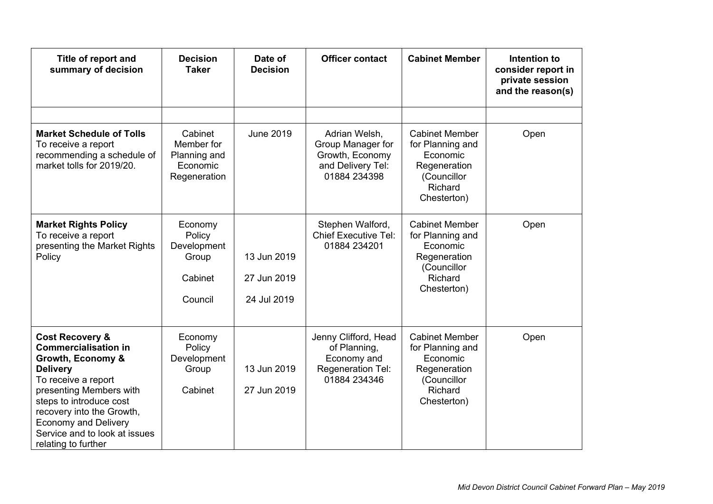| Title of report and<br>summary of decision                                                                                                                                                                                                                                                         | <b>Decision</b><br><b>Taker</b>                                   | Date of<br><b>Decision</b>                | <b>Officer contact</b>                                                                     | <b>Cabinet Member</b>                                                                                          | Intention to<br>consider report in<br>private session<br>and the reason(s) |
|----------------------------------------------------------------------------------------------------------------------------------------------------------------------------------------------------------------------------------------------------------------------------------------------------|-------------------------------------------------------------------|-------------------------------------------|--------------------------------------------------------------------------------------------|----------------------------------------------------------------------------------------------------------------|----------------------------------------------------------------------------|
|                                                                                                                                                                                                                                                                                                    |                                                                   |                                           |                                                                                            |                                                                                                                |                                                                            |
| <b>Market Schedule of Tolls</b><br>To receive a report<br>recommending a schedule of<br>market tolls for 2019/20.                                                                                                                                                                                  | Cabinet<br>Member for<br>Planning and<br>Economic<br>Regeneration | <b>June 2019</b>                          | Adrian Welsh,<br>Group Manager for<br>Growth, Economy<br>and Delivery Tel:<br>01884 234398 | <b>Cabinet Member</b><br>for Planning and<br>Economic<br>Regeneration<br>(Councillor<br>Richard<br>Chesterton) | Open                                                                       |
| <b>Market Rights Policy</b><br>To receive a report<br>presenting the Market Rights<br>Policy                                                                                                                                                                                                       | Economy<br>Policy<br>Development<br>Group<br>Cabinet<br>Council   | 13 Jun 2019<br>27 Jun 2019<br>24 Jul 2019 | Stephen Walford,<br><b>Chief Executive Tel:</b><br>01884 234201                            | <b>Cabinet Member</b><br>for Planning and<br>Economic<br>Regeneration<br>(Councillor<br>Richard<br>Chesterton) | Open                                                                       |
| <b>Cost Recovery &amp;</b><br><b>Commercialisation in</b><br>Growth, Economy &<br><b>Delivery</b><br>To receive a report<br>presenting Members with<br>steps to introduce cost<br>recovery into the Growth,<br><b>Economy and Delivery</b><br>Service and to look at issues<br>relating to further | Economy<br>Policy<br>Development<br>Group<br>Cabinet              | 13 Jun 2019<br>27 Jun 2019                | Jenny Clifford, Head<br>of Planning,<br>Economy and<br>Regeneration Tel:<br>01884 234346   | <b>Cabinet Member</b><br>for Planning and<br>Economic<br>Regeneration<br>(Councillor<br>Richard<br>Chesterton) | Open                                                                       |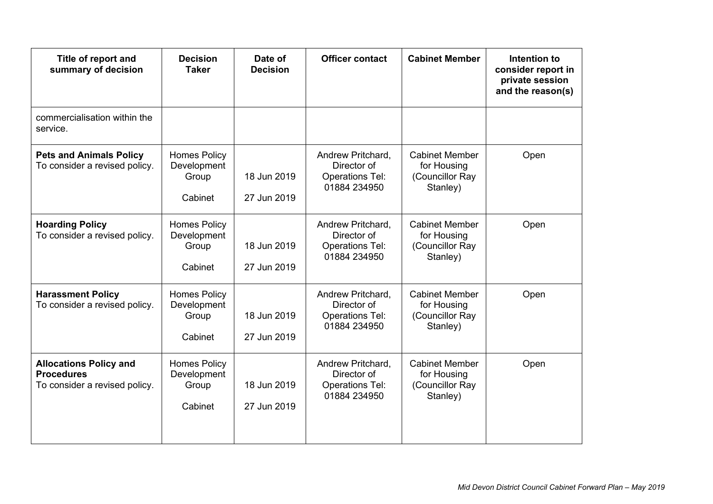| Title of report and<br>summary of decision                                          | <b>Decision</b><br><b>Taker</b>                        | Date of<br><b>Decision</b> | <b>Officer contact</b>                                                     | <b>Cabinet Member</b>                                               | Intention to<br>consider report in<br>private session<br>and the reason(s) |
|-------------------------------------------------------------------------------------|--------------------------------------------------------|----------------------------|----------------------------------------------------------------------------|---------------------------------------------------------------------|----------------------------------------------------------------------------|
| commercialisation within the<br>service.                                            |                                                        |                            |                                                                            |                                                                     |                                                                            |
| <b>Pets and Animals Policy</b><br>To consider a revised policy.                     | <b>Homes Policy</b><br>Development<br>Group<br>Cabinet | 18 Jun 2019<br>27 Jun 2019 | Andrew Pritchard,<br>Director of<br><b>Operations Tel:</b><br>01884 234950 | <b>Cabinet Member</b><br>for Housing<br>(Councillor Ray<br>Stanley) | Open                                                                       |
| <b>Hoarding Policy</b><br>To consider a revised policy.                             | <b>Homes Policy</b><br>Development<br>Group<br>Cabinet | 18 Jun 2019<br>27 Jun 2019 | Andrew Pritchard,<br>Director of<br><b>Operations Tel:</b><br>01884 234950 | <b>Cabinet Member</b><br>for Housing<br>(Councillor Ray<br>Stanley) | Open                                                                       |
| <b>Harassment Policy</b><br>To consider a revised policy.                           | <b>Homes Policy</b><br>Development<br>Group<br>Cabinet | 18 Jun 2019<br>27 Jun 2019 | Andrew Pritchard,<br>Director of<br><b>Operations Tel:</b><br>01884 234950 | <b>Cabinet Member</b><br>for Housing<br>(Councillor Ray<br>Stanley) | Open                                                                       |
| <b>Allocations Policy and</b><br><b>Procedures</b><br>To consider a revised policy. | <b>Homes Policy</b><br>Development<br>Group<br>Cabinet | 18 Jun 2019<br>27 Jun 2019 | Andrew Pritchard,<br>Director of<br><b>Operations Tel:</b><br>01884 234950 | <b>Cabinet Member</b><br>for Housing<br>(Councillor Ray<br>Stanley) | Open                                                                       |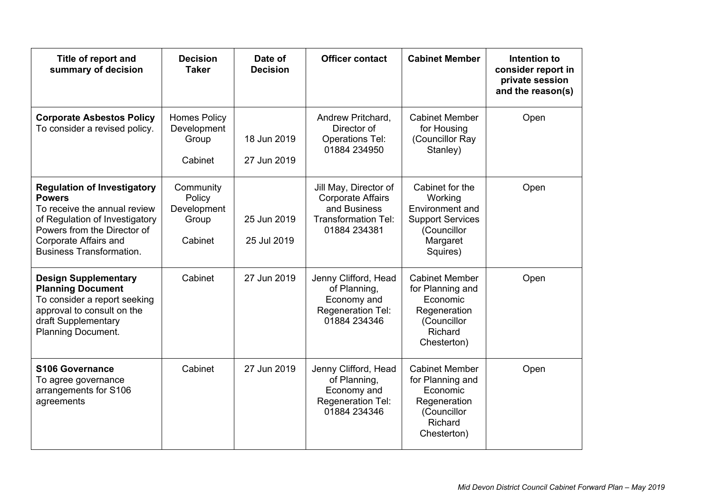| Title of report and<br>summary of decision                                                                                                                                                                       | <b>Decision</b><br><b>Taker</b>                        | Date of<br><b>Decision</b> | <b>Officer contact</b>                                                                                          | <b>Cabinet Member</b>                                                                                           | Intention to<br>consider report in<br>private session<br>and the reason(s) |
|------------------------------------------------------------------------------------------------------------------------------------------------------------------------------------------------------------------|--------------------------------------------------------|----------------------------|-----------------------------------------------------------------------------------------------------------------|-----------------------------------------------------------------------------------------------------------------|----------------------------------------------------------------------------|
| <b>Corporate Asbestos Policy</b><br>To consider a revised policy.                                                                                                                                                | <b>Homes Policy</b><br>Development<br>Group<br>Cabinet | 18 Jun 2019<br>27 Jun 2019 | Andrew Pritchard,<br>Director of<br><b>Operations Tel:</b><br>01884 234950                                      | <b>Cabinet Member</b><br>for Housing<br>(Councillor Ray<br>Stanley)                                             | Open                                                                       |
| <b>Regulation of Investigatory</b><br><b>Powers</b><br>To receive the annual review<br>of Regulation of Investigatory<br>Powers from the Director of<br>Corporate Affairs and<br><b>Business Transformation.</b> | Community<br>Policy<br>Development<br>Group<br>Cabinet | 25 Jun 2019<br>25 Jul 2019 | Jill May, Director of<br><b>Corporate Affairs</b><br>and Business<br><b>Transformation Tel:</b><br>01884 234381 | Cabinet for the<br>Working<br>Environment and<br><b>Support Services</b><br>(Councillor<br>Margaret<br>Squires) | Open                                                                       |
| <b>Design Supplementary</b><br><b>Planning Document</b><br>To consider a report seeking<br>approval to consult on the<br>draft Supplementary<br>Planning Document.                                               | Cabinet                                                | 27 Jun 2019                | Jenny Clifford, Head<br>of Planning,<br>Economy and<br>Regeneration Tel:<br>01884 234346                        | <b>Cabinet Member</b><br>for Planning and<br>Economic<br>Regeneration<br>(Councillor<br>Richard<br>Chesterton)  | Open                                                                       |
| <b>S106 Governance</b><br>To agree governance<br>arrangements for S106<br>agreements                                                                                                                             | Cabinet                                                | 27 Jun 2019                | Jenny Clifford, Head<br>of Planning,<br>Economy and<br>Regeneration Tel:<br>01884 234346                        | <b>Cabinet Member</b><br>for Planning and<br>Economic<br>Regeneration<br>(Councillor<br>Richard<br>Chesterton)  | Open                                                                       |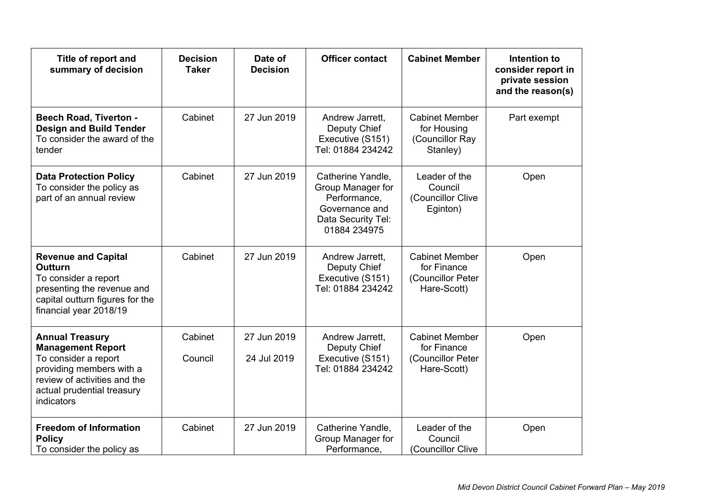| Title of report and<br>summary of decision                                                                                                                                         | <b>Decision</b><br><b>Taker</b> | Date of<br><b>Decision</b> | <b>Officer contact</b>                                                                                         | <b>Cabinet Member</b>                                                    | Intention to<br>consider report in<br>private session<br>and the reason(s) |
|------------------------------------------------------------------------------------------------------------------------------------------------------------------------------------|---------------------------------|----------------------------|----------------------------------------------------------------------------------------------------------------|--------------------------------------------------------------------------|----------------------------------------------------------------------------|
| <b>Beech Road, Tiverton -</b><br><b>Design and Build Tender</b><br>To consider the award of the<br>tender                                                                          | Cabinet                         | 27 Jun 2019                | Andrew Jarrett,<br>Deputy Chief<br>Executive (S151)<br>Tel: 01884 234242                                       | <b>Cabinet Member</b><br>for Housing<br>(Councillor Ray<br>Stanley)      | Part exempt                                                                |
| <b>Data Protection Policy</b><br>To consider the policy as<br>part of an annual review                                                                                             | Cabinet                         | 27 Jun 2019                | Catherine Yandle,<br>Group Manager for<br>Performance,<br>Governance and<br>Data Security Tel:<br>01884 234975 | Leader of the<br>Council<br>(Councillor Clive<br>Eginton)                | Open                                                                       |
| <b>Revenue and Capital</b><br><b>Outturn</b><br>To consider a report<br>presenting the revenue and<br>capital outturn figures for the<br>financial year 2018/19                    | Cabinet                         | 27 Jun 2019                | Andrew Jarrett.<br>Deputy Chief<br>Executive (S151)<br>Tel: 01884 234242                                       | <b>Cabinet Member</b><br>for Finance<br>(Councillor Peter<br>Hare-Scott) | Open                                                                       |
| <b>Annual Treasury</b><br><b>Management Report</b><br>To consider a report<br>providing members with a<br>review of activities and the<br>actual prudential treasury<br>indicators | Cabinet<br>Council              | 27 Jun 2019<br>24 Jul 2019 | Andrew Jarrett,<br>Deputy Chief<br>Executive (S151)<br>Tel: 01884 234242                                       | <b>Cabinet Member</b><br>for Finance<br>(Councillor Peter<br>Hare-Scott) | Open                                                                       |
| <b>Freedom of Information</b><br><b>Policy</b><br>To consider the policy as                                                                                                        | Cabinet                         | 27 Jun 2019                | Catherine Yandle,<br>Group Manager for<br>Performance,                                                         | Leader of the<br>Council<br>(Councillor Clive                            | Open                                                                       |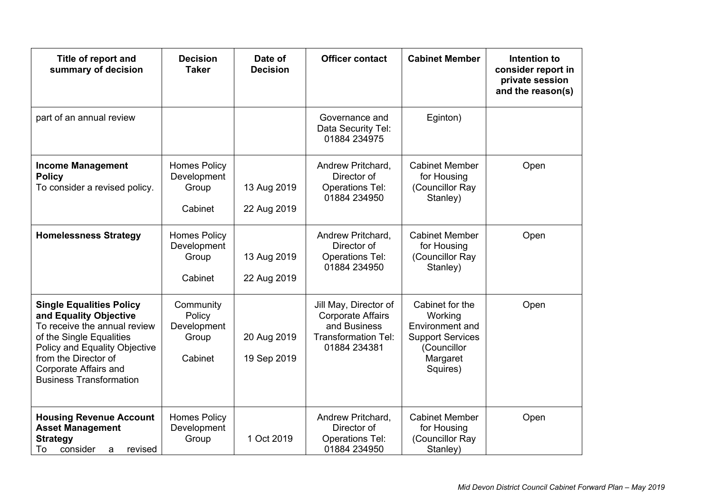| Title of report and<br>summary of decision                                                                                                                                                                                                | <b>Decision</b><br><b>Taker</b>                        | Date of<br><b>Decision</b> | <b>Officer contact</b>                                                                                          | <b>Cabinet Member</b>                                                                                           | Intention to<br>consider report in<br>private session<br>and the reason(s) |
|-------------------------------------------------------------------------------------------------------------------------------------------------------------------------------------------------------------------------------------------|--------------------------------------------------------|----------------------------|-----------------------------------------------------------------------------------------------------------------|-----------------------------------------------------------------------------------------------------------------|----------------------------------------------------------------------------|
| part of an annual review                                                                                                                                                                                                                  |                                                        |                            | Governance and<br>Data Security Tel:<br>01884 234975                                                            | Eginton)                                                                                                        |                                                                            |
| <b>Income Management</b><br><b>Policy</b><br>To consider a revised policy.                                                                                                                                                                | <b>Homes Policy</b><br>Development<br>Group<br>Cabinet | 13 Aug 2019<br>22 Aug 2019 | Andrew Pritchard,<br>Director of<br><b>Operations Tel:</b><br>01884 234950                                      | <b>Cabinet Member</b><br>for Housing<br>(Councillor Ray<br>Stanley)                                             | Open                                                                       |
| <b>Homelessness Strategy</b>                                                                                                                                                                                                              | <b>Homes Policy</b><br>Development<br>Group<br>Cabinet | 13 Aug 2019<br>22 Aug 2019 | Andrew Pritchard,<br>Director of<br><b>Operations Tel:</b><br>01884 234950                                      | <b>Cabinet Member</b><br>for Housing<br>(Councillor Ray<br>Stanley)                                             | Open                                                                       |
| <b>Single Equalities Policy</b><br>and Equality Objective<br>To receive the annual review<br>of the Single Equalities<br>Policy and Equality Objective<br>from the Director of<br>Corporate Affairs and<br><b>Business Transformation</b> | Community<br>Policy<br>Development<br>Group<br>Cabinet | 20 Aug 2019<br>19 Sep 2019 | Jill May, Director of<br><b>Corporate Affairs</b><br>and Business<br><b>Transformation Tel:</b><br>01884 234381 | Cabinet for the<br>Working<br>Environment and<br><b>Support Services</b><br>(Councillor<br>Margaret<br>Squires) | Open                                                                       |
| <b>Housing Revenue Account</b><br><b>Asset Management</b><br><b>Strategy</b><br>consider<br>revised<br>To<br>a                                                                                                                            | <b>Homes Policy</b><br>Development<br>Group            | 1 Oct 2019                 | Andrew Pritchard,<br>Director of<br><b>Operations Tel:</b><br>01884 234950                                      | <b>Cabinet Member</b><br>for Housing<br>(Councillor Ray<br>Stanley)                                             | Open                                                                       |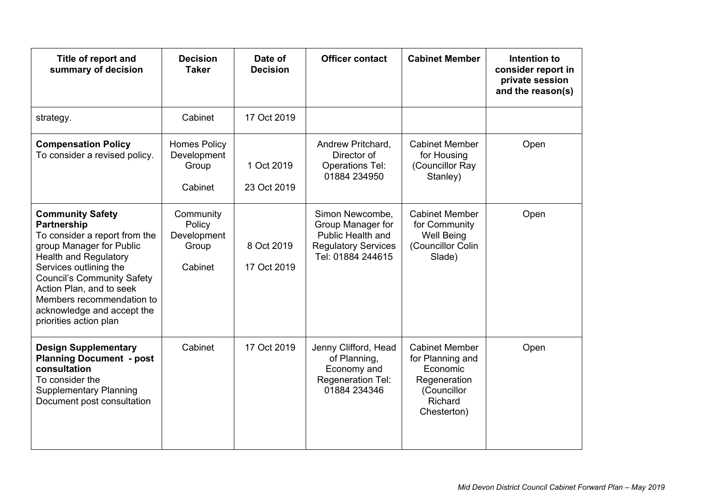| Title of report and<br>summary of decision                                                                                                                                                                                                                                                                          | <b>Decision</b><br><b>Taker</b>                        | Date of<br><b>Decision</b> | <b>Officer contact</b>                                                                                       | <b>Cabinet Member</b>                                                                                          | Intention to<br>consider report in<br>private session<br>and the reason(s) |
|---------------------------------------------------------------------------------------------------------------------------------------------------------------------------------------------------------------------------------------------------------------------------------------------------------------------|--------------------------------------------------------|----------------------------|--------------------------------------------------------------------------------------------------------------|----------------------------------------------------------------------------------------------------------------|----------------------------------------------------------------------------|
| strategy.                                                                                                                                                                                                                                                                                                           | Cabinet                                                | 17 Oct 2019                |                                                                                                              |                                                                                                                |                                                                            |
| <b>Compensation Policy</b><br>To consider a revised policy.                                                                                                                                                                                                                                                         | <b>Homes Policy</b><br>Development<br>Group<br>Cabinet | 1 Oct 2019<br>23 Oct 2019  | Andrew Pritchard,<br>Director of<br><b>Operations Tel:</b><br>01884 234950                                   | <b>Cabinet Member</b><br>for Housing<br>(Councillor Ray<br>Stanley)                                            | Open                                                                       |
| <b>Community Safety</b><br>Partnership<br>To consider a report from the<br>group Manager for Public<br><b>Health and Regulatory</b><br>Services outlining the<br><b>Council's Community Safety</b><br>Action Plan, and to seek<br>Members recommendation to<br>acknowledge and accept the<br>priorities action plan | Community<br>Policy<br>Development<br>Group<br>Cabinet | 8 Oct 2019<br>17 Oct 2019  | Simon Newcombe,<br>Group Manager for<br>Public Health and<br><b>Regulatory Services</b><br>Tel: 01884 244615 | <b>Cabinet Member</b><br>for Community<br><b>Well Being</b><br>(Councillor Colin<br>Slade)                     | Open                                                                       |
| <b>Design Supplementary</b><br><b>Planning Document - post</b><br>consultation<br>To consider the<br><b>Supplementary Planning</b><br>Document post consultation                                                                                                                                                    | Cabinet                                                | 17 Oct 2019                | Jenny Clifford, Head<br>of Planning,<br>Economy and<br>Regeneration Tel:<br>01884 234346                     | <b>Cabinet Member</b><br>for Planning and<br>Economic<br>Regeneration<br>(Councillor<br>Richard<br>Chesterton) | Open                                                                       |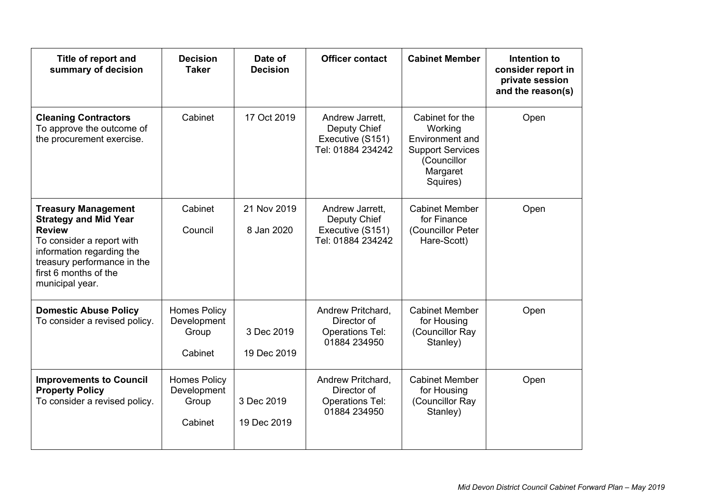| Title of report and<br>summary of decision                                                                                                                                                                       | <b>Decision</b><br><b>Taker</b>                        | Date of<br><b>Decision</b> | <b>Officer contact</b>                                                     | <b>Cabinet Member</b>                                                                                           | Intention to<br>consider report in<br>private session<br>and the reason(s) |
|------------------------------------------------------------------------------------------------------------------------------------------------------------------------------------------------------------------|--------------------------------------------------------|----------------------------|----------------------------------------------------------------------------|-----------------------------------------------------------------------------------------------------------------|----------------------------------------------------------------------------|
| <b>Cleaning Contractors</b><br>To approve the outcome of<br>the procurement exercise.                                                                                                                            | Cabinet                                                | 17 Oct 2019                | Andrew Jarrett,<br>Deputy Chief<br>Executive (S151)<br>Tel: 01884 234242   | Cabinet for the<br>Working<br>Environment and<br><b>Support Services</b><br>(Councillor<br>Margaret<br>Squires) | Open                                                                       |
| <b>Treasury Management</b><br><b>Strategy and Mid Year</b><br><b>Review</b><br>To consider a report with<br>information regarding the<br>treasury performance in the<br>first 6 months of the<br>municipal year. | Cabinet<br>Council                                     | 21 Nov 2019<br>8 Jan 2020  | Andrew Jarrett,<br>Deputy Chief<br>Executive (S151)<br>Tel: 01884 234242   | <b>Cabinet Member</b><br>for Finance<br>(Councillor Peter<br>Hare-Scott)                                        | Open                                                                       |
| <b>Domestic Abuse Policy</b><br>To consider a revised policy.                                                                                                                                                    | <b>Homes Policy</b><br>Development<br>Group<br>Cabinet | 3 Dec 2019<br>19 Dec 2019  | Andrew Pritchard,<br>Director of<br><b>Operations Tel:</b><br>01884 234950 | <b>Cabinet Member</b><br>for Housing<br>(Councillor Ray<br>Stanley)                                             | Open                                                                       |
| <b>Improvements to Council</b><br><b>Property Policy</b><br>To consider a revised policy.                                                                                                                        | <b>Homes Policy</b><br>Development<br>Group<br>Cabinet | 3 Dec 2019<br>19 Dec 2019  | Andrew Pritchard,<br>Director of<br><b>Operations Tel:</b><br>01884 234950 | <b>Cabinet Member</b><br>for Housing<br>(Councillor Ray<br>Stanley)                                             | Open                                                                       |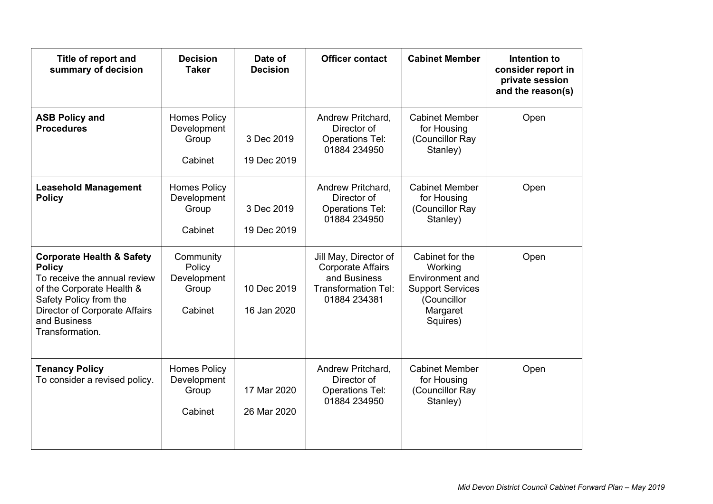| Title of report and<br>summary of decision                                                                                                                                                                       | <b>Decision</b><br><b>Taker</b>                        | Date of<br><b>Decision</b> | <b>Officer contact</b>                                                                                          | <b>Cabinet Member</b>                                                                                                  | Intention to<br>consider report in<br>private session<br>and the reason(s) |
|------------------------------------------------------------------------------------------------------------------------------------------------------------------------------------------------------------------|--------------------------------------------------------|----------------------------|-----------------------------------------------------------------------------------------------------------------|------------------------------------------------------------------------------------------------------------------------|----------------------------------------------------------------------------|
| <b>ASB Policy and</b><br><b>Procedures</b>                                                                                                                                                                       | <b>Homes Policy</b><br>Development<br>Group<br>Cabinet | 3 Dec 2019<br>19 Dec 2019  | Andrew Pritchard,<br>Director of<br><b>Operations Tel:</b><br>01884 234950                                      | <b>Cabinet Member</b><br>for Housing<br>(Councillor Ray<br>Stanley)                                                    | Open                                                                       |
| <b>Leasehold Management</b><br><b>Policy</b>                                                                                                                                                                     | <b>Homes Policy</b><br>Development<br>Group<br>Cabinet | 3 Dec 2019<br>19 Dec 2019  | Andrew Pritchard,<br>Director of<br><b>Operations Tel:</b><br>01884 234950                                      | <b>Cabinet Member</b><br>for Housing<br>(Councillor Ray<br>Stanley)                                                    | Open                                                                       |
| <b>Corporate Health &amp; Safety</b><br><b>Policy</b><br>To receive the annual review<br>of the Corporate Health &<br>Safety Policy from the<br>Director of Corporate Affairs<br>and Business<br>Transformation. | Community<br>Policy<br>Development<br>Group<br>Cabinet | 10 Dec 2019<br>16 Jan 2020 | Jill May, Director of<br><b>Corporate Affairs</b><br>and Business<br><b>Transformation Tel:</b><br>01884 234381 | Cabinet for the<br>Working<br><b>Environment</b> and<br><b>Support Services</b><br>(Councillor<br>Margaret<br>Squires) | Open                                                                       |
| <b>Tenancy Policy</b><br>To consider a revised policy.                                                                                                                                                           | <b>Homes Policy</b><br>Development<br>Group<br>Cabinet | 17 Mar 2020<br>26 Mar 2020 | Andrew Pritchard,<br>Director of<br><b>Operations Tel:</b><br>01884 234950                                      | <b>Cabinet Member</b><br>for Housing<br>(Councillor Ray<br>Stanley)                                                    | Open                                                                       |